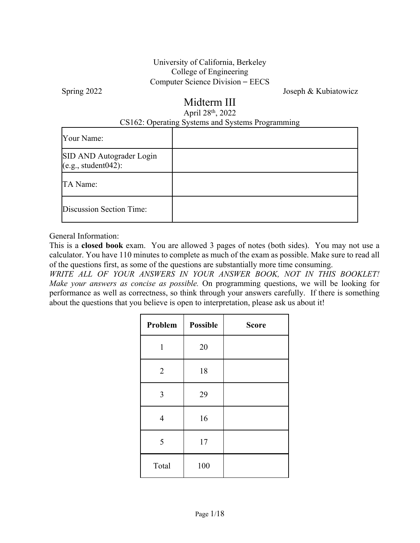#### University of California, Berkeley College of Engineering Computer Science Division - EECS

Spring 2022 Joseph & Kubiatowicz

#### Midterm III

#### April 28th, 2022

| CS162: Operating Systems and Systems Programming |  |  |
|--------------------------------------------------|--|--|
|                                                  |  |  |

| Your Name:                                      |  |
|-------------------------------------------------|--|
| SID AND Autograder Login<br>(e.g., student042): |  |
| TA Name:                                        |  |
| Discussion Section Time:                        |  |

General Information:

This is a **closed book** exam. You are allowed 3 pages of notes (both sides). You may not use a calculator. You have 110 minutes to complete as much of the exam as possible. Make sure to read all of the questions first, as some of the questions are substantially more time consuming.

*WRITE ALL OF YOUR ANSWERS IN YOUR ANSWER BOOK, NOT IN THIS BOOKLET! Make your answers as concise as possible.* On programming questions, we will be looking for performance as well as correctness, so think through your answers carefully. If there is something about the questions that you believe is open to interpretation, please ask us about it!

| Problem        | <b>Possible</b> | <b>Score</b> |
|----------------|-----------------|--------------|
| 1              | 20              |              |
| $\overline{2}$ | 18              |              |
| 3              | 29              |              |
| 4              | 16              |              |
| 5              | 17              |              |
| Total          | 100             |              |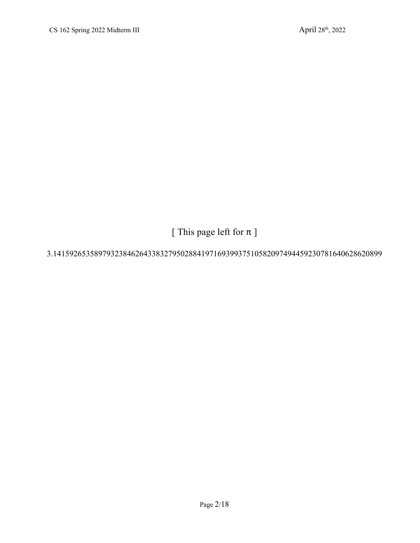[ This page left for π ]

3.14159265358979323846264338327950288419716939937510582097494459230781640628620899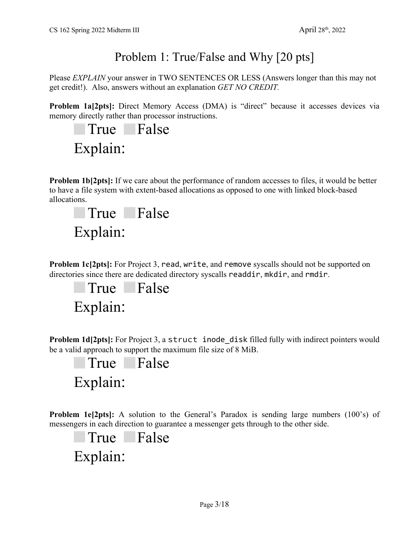#### Problem 1: True/False and Why [20 pts]

Please *EXPLAIN* your answer in TWO SENTENCES OR LESS (Answers longer than this may not get credit!). Also, answers without an explanation *GET NO CREDIT.*

**Problem 1a[2pts]:** Direct Memory Access (DMA) is "direct" because it accesses devices via memory directly rather than processor instructions.



**Problem 1b[2pts]:** If we care about the performance of random accesses to files, it would be better to have a file system with extent-based allocations as opposed to one with linked block-based allocations.



**Problem 1c[2pts]:** For Project 3, read, write, and remove syscalls should not be supported on directories since there are dedicated directory syscalls readdir, mkdir, and rmdir.



**Problem 1d(2pts):** For Project 3, a struct inode disk filled fully with indirect pointers would be a valid approach to support the maximum file size of 8 MiB.



**Problem 1e[2pts]:** A solution to the General's Paradox is sending large numbers (100's) of messengers in each direction to guarantee a messenger gets through to the other side.

True False Explain: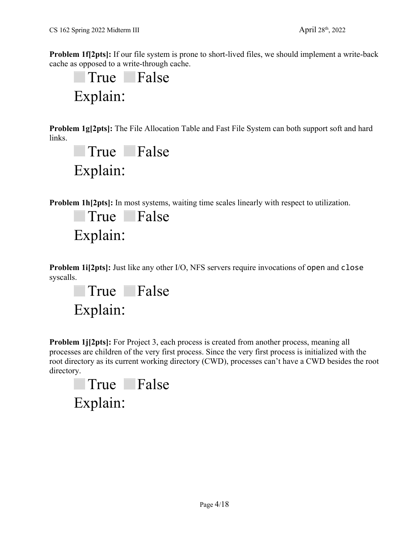**Problem 1f(2pts):** If our file system is prone to short-lived files, we should implement a write-back cache as opposed to a write-through cache.

⬜ True ⬜ False Explain:

**Problem 1g[2pts]:** The File Allocation Table and Fast File System can both support soft and hard links.

⬜ True ⬜ False Explain:

**Problem 1h[2pts]:** In most systems, waiting time scales linearly with respect to utilization.

⬜ True ⬜ False Explain:

**Problem 1i[2pts]:** Just like any other I/O, NFS servers require invocations of open and close syscalls.



**Problem 1j[2pts]:** For Project 3, each process is created from another process, meaning all processes are children of the very first process. Since the very first process is initialized with the root directory as its current working directory (CWD), processes can't have a CWD besides the root directory.

⬜ True ⬜ False Explain: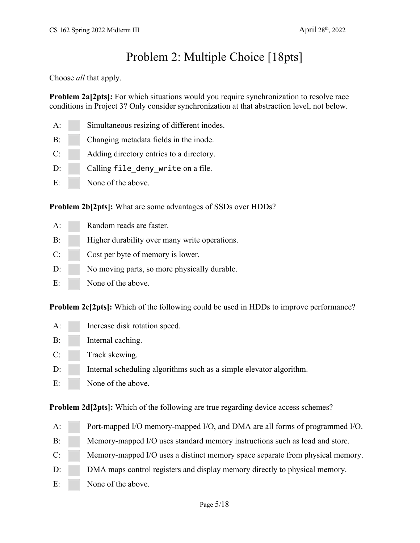#### Problem 2: Multiple Choice [18pts]

Choose *all* that apply.

**Problem 2a[2pts]:** For which situations would you require synchronization to resolve race conditions in Project 3? Only consider synchronization at that abstraction level, not below.

- A: Simultaneous resizing of different inodes.
- B: Changing metadata fields in the inode.
- C: Adding directory entries to a directory.
- D: Calling file deny write on a file.
- E: None of the above.

**Problem 2b[2pts]:** What are some advantages of SSDs over HDDs?

| $A$ :          | Random reads are faster.                      |
|----------------|-----------------------------------------------|
| $\mathbf{B}$ : | Higher durability over many write operations. |
| C:             | Cost per byte of memory is lower.             |
| D:             | No moving parts, so more physically durable.  |
| E:             | None of the above.                            |

**Problem 2c[2pts]:** Which of the following could be used in HDDs to improve performance?

- A: Increase disk rotation speed.
- B: Internal caching.
- C: Track skewing.
- D: Internal scheduling algorithms such as a simple elevator algorithm.
- E: None of the above.

**Problem 2d[2pts]:** Which of the following are true regarding device access schemes?

- A: Port-mapped I/O memory-mapped I/O, and DMA are all forms of programmed I/O.
- B: Memory-mapped I/O uses standard memory instructions such as load and store.
- C: Memory-mapped I/O uses a distinct memory space separate from physical memory.
- D: DMA maps control registers and display memory directly to physical memory.
- E: None of the above.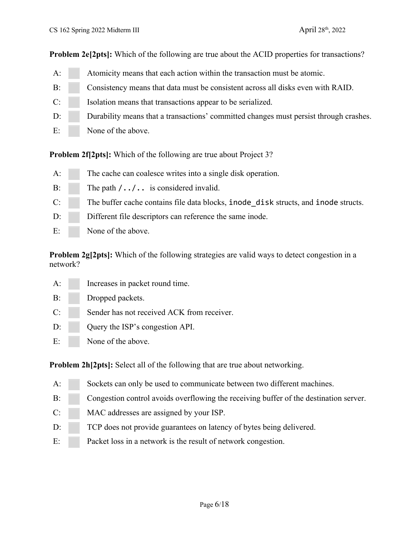**Problem 2e[2pts]:** Which of the following are true about the ACID properties for transactions?

- A: ⬜ Atomicity means that each action within the transaction must be atomic.
- B: Consistency means that data must be consistent across all disks even with RAID.
- C: **Isolation means that transactions appear to be serialized.**
- D: Durability means that a transactions' committed changes must persist through crashes.
- E: None of the above.

**Problem 2f<sup>[2pts]</sup>:** Which of the following are true about Project 3?

- A: The cache can coalesce writes into a single disk operation.
- B: The path  $/ \ldots / \ldots$  is considered invalid.
- C: The buffer cache contains file data blocks, inode\_disk structs, and inode structs.
- D: Different file descriptors can reference the same inode.
- E: None of the above.

**Problem 2g[2pts]:** Which of the following strategies are valid ways to detect congestion in a network?

- A: Increases in packet round time.
- B: Dropped packets.
- C: Sender has not received ACK from receiver.
- D: Query the ISP's congestion API.
- E: None of the above.

**Problem 2h[2pts]:** Select all of the following that are true about networking.

- A: Sockets can only be used to communicate between two different machines.
- B: Congestion control avoids overflowing the receiving buffer of the destination server.
- C: MAC addresses are assigned by your ISP.
- D: TCP does not provide guarantees on latency of bytes being delivered.
- E: Packet loss in a network is the result of network congestion.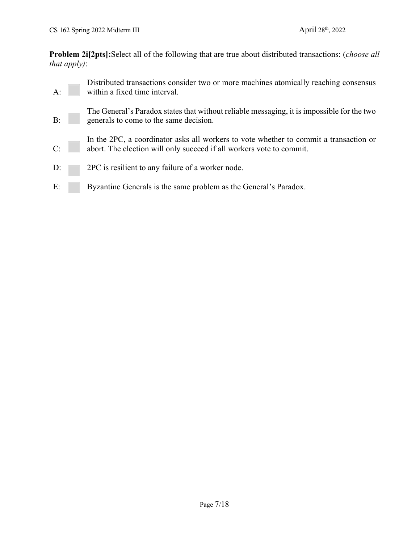**Problem 2i[2pts]:**Select all of the following that are true about distributed transactions: (*choose all that apply)*:

Distributed transactions consider two or more machines atomically reaching consensus<br>within a fixed time interval. within a fixed time interval. The General's Paradox states that without reliable messaging, it is impossible for the two<br>generals to come to the same decision. generals to come to the same decision. In the 2PC, a coordinator asks all workers to vote whether to commit a transaction or abort. The election will only succeed if all workers vote to commit. abort. The election will only succeed if all workers vote to commit. D: **2PC** is resilient to any failure of a worker node. E: Byzantine Generals is the same problem as the General's Paradox.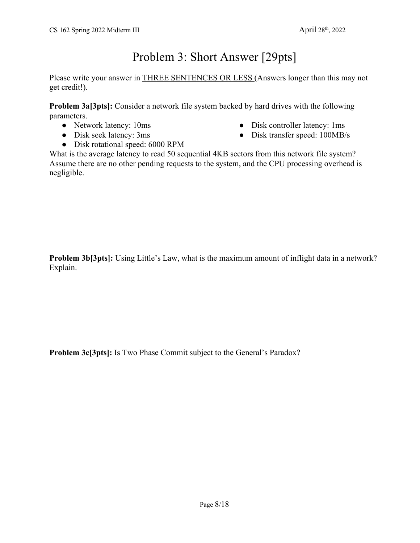#### Problem 3: Short Answer [29pts]

Please write your answer in **THREE SENTENCES OR LESS** (Answers longer than this may not get credit!).

**Problem 3a[3pts]:** Consider a network file system backed by hard drives with the following parameters.

- Network latency: 10ms
- Disk seek latency: 3ms
- Disk controller latency: 1ms
- Disk transfer speed: 100MB/s
- Disk rotational speed: 6000 RPM

What is the average latency to read 50 sequential 4KB sectors from this network file system? Assume there are no other pending requests to the system, and the CPU processing overhead is negligible.

**Problem 3b[3pts]:** Using Little's Law, what is the maximum amount of inflight data in a network? Explain.

**Problem 3c[3pts]:** Is Two Phase Commit subject to the General's Paradox?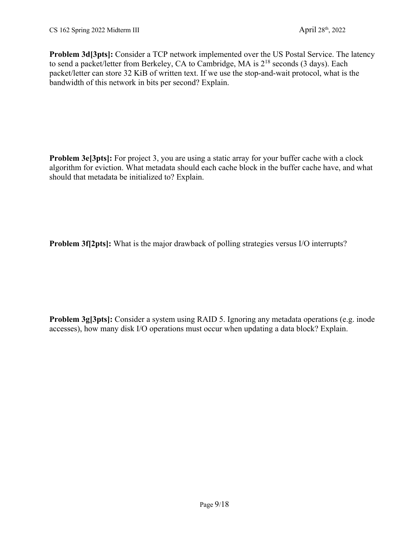**Problem 3d[3pts]:** Consider a TCP network implemented over the US Postal Service. The latency to send a packet/letter from Berkeley, CA to Cambridge, MA is 218 seconds (3 days). Each packet/letter can store 32 KiB of written text. If we use the stop-and-wait protocol, what is the bandwidth of this network in bits per second? Explain.

**Problem 3e[3pts]:** For project 3, you are using a static array for your buffer cache with a clock algorithm for eviction. What metadata should each cache block in the buffer cache have, and what should that metadata be initialized to? Explain.

**Problem 3f[2pts]:** What is the major drawback of polling strategies versus I/O interrupts?

**Problem 3g[3pts]:** Consider a system using RAID 5. Ignoring any metadata operations (e.g. inode accesses), how many disk I/O operations must occur when updating a data block? Explain.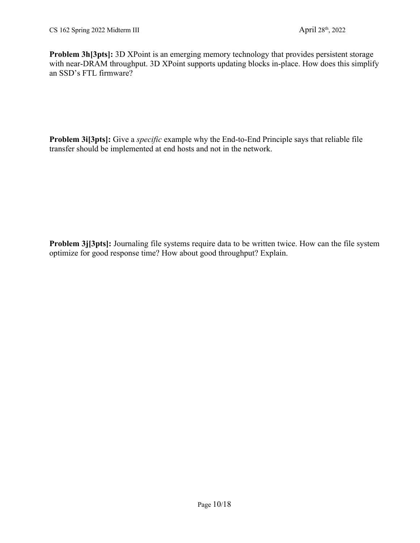**Problem 3h[3pts]:** 3D XPoint is an emerging memory technology that provides persistent storage with near-DRAM throughput. 3D XPoint supports updating blocks in-place. How does this simplify an SSD's FTL firmware?

**Problem 3i[3pts]:** Give a *specific* example why the End-to-End Principle says that reliable file transfer should be implemented at end hosts and not in the network.

**Problem 3j**[3pts]: Journaling file systems require data to be written twice. How can the file system optimize for good response time? How about good throughput? Explain.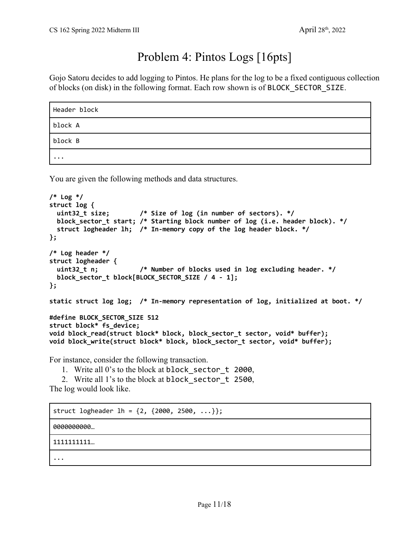#### Problem 4: Pintos Logs [16pts]

Gojo Satoru decides to add logging to Pintos. He plans for the log to be a fixed contiguous collection of blocks (on disk) in the following format. Each row shown is of BLOCK\_SECTOR\_SIZE.

| Header block |  |
|--------------|--|
| block A      |  |
| block B      |  |
| $\cdots$     |  |

You are given the following methods and data structures.

```
/* Log */
struct log { 
  uint32_t size; /* Size of log (in number of sectors). */
  block_sector_t start; /* Starting block number of log (i.e. header block). */
  struct logheader lh; /* In-memory copy of the log header block. */
};
/* Log header */ 
struct logheader { 
  uint32_t n; /* Number of blocks used in log excluding header. */
  block_sector_t block[BLOCK_SECTOR_SIZE / 4 - 1];
};
static struct log log; /* In-memory representation of log, initialized at boot. */
#define BLOCK_SECTOR_SIZE 512
struct block* fs_device;
void block_read(struct block* block, block_sector_t sector, void* buffer);
void block_write(struct block* block, block_sector_t sector, void* buffer);
```
For instance, consider the following transaction.

1. Write all 0's to the block at block sector t 2000, 2. Write all 1's to the block at block\_sector\_t 2500, The log would look like.

```
struct logheader 1h = \{2, \{2000, 2500, ...\} \};
0000000000…
1111111111…
...
```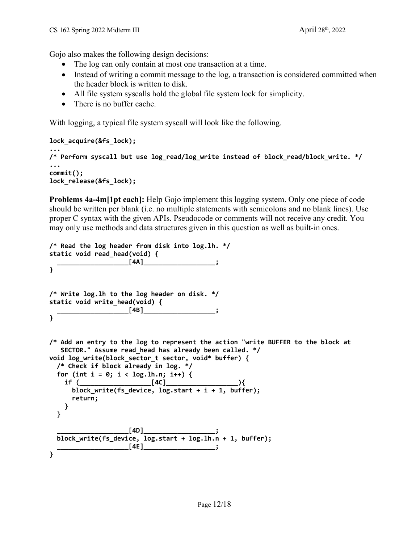Gojo also makes the following design decisions:

- The log can only contain at most one transaction at a time.
- Instead of writing a commit message to the log, a transaction is considered committed when the header block is written to disk.
- All file system syscalls hold the global file system lock for simplicity.
- There is no buffer cache.

With logging, a typical file system syscall will look like the following.

```
lock_acquire(&fs_lock);
...
/* Perform syscall but use log_read/log_write instead of block_read/block_write. */
...
commit();
lock_release(&fs_lock);
```
**Problems 4a-4m[1pt each]:** Help Gojo implement this logging system. Only one piece of code should be written per blank (i.e. no multiple statements with semicolons and no blank lines). Use proper C syntax with the given APIs. Pseudocode or comments will not receive any credit. You may only use methods and data structures given in this question as well as built-in ones.

```
/* Read the log header from disk into log.lh. */ 
static void read_head(void) { 
          ___________________[4A]___________________;
}
/* Write log.lh to the log header on disk. */
static void write_head(void) { 
         [4B] ;
}
/* Add an entry to the log to represent the action "write BUFFER to the block at
   SECTOR." Assume read_head has already been called. */
void log_write(block_sector_t sector, void* buffer) { 
  /* Check if block already in log. */ 
  for (int i = 0; i < log.lh.n; i++) { 
   if ( [4C]
      block_write(fs_device, log.start + i + 1, buffer); 
      return; 
    } 
   } 
                  [4D] block_write(fs_device, log.start + log.lh.n + 1, buffer); 
            ___________________[4E]___________________;
}
```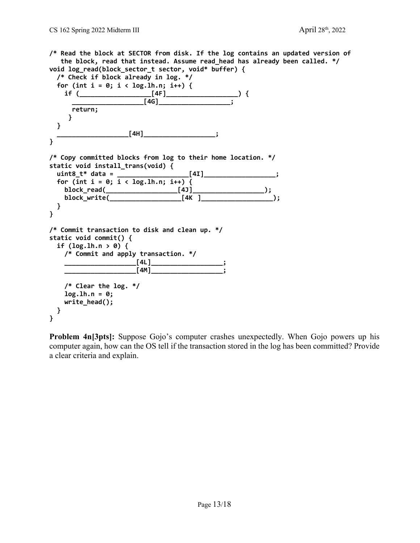```
/* Read the block at SECTOR from disk. If the log contains an updated version of
    the block, read that instead. Assume read_head has already been called. */
void log_read(block_sector_t sector, void* buffer) { 
 /* Check if block already in log. */ 
  for (int i = 0; i < log.lh.n; i++) { 
     if (___________________[4F]___________________) {
                          ___________________[4G]___________________;
       return; 
      } 
  }
                     ___________________[4H]___________________;
}
/* Copy committed blocks from log to their home location. */ 
static void install_trans(void) { 
                                     [41]for (int i = 0; i < log.h.n; i++) {
    block read( [4]] [4] block_write(___________________[4K ]___________________); 
  }
} 
/* Commit transaction to disk and clean up. */ 
static void commit() { 
   if (log.lh.n > 0) {
     /* Commit and apply transaction. */
       \lceil 4L \rceil ___________________[4M]___________________;
     /* Clear the log. */
     log.lh.n = 0; 
    write_head();
  } 
}
```
**Problem 4n[3pts]:** Suppose Gojo's computer crashes unexpectedly. When Gojo powers up his computer again, how can the OS tell if the transaction stored in the log has been committed? Provide a clear criteria and explain.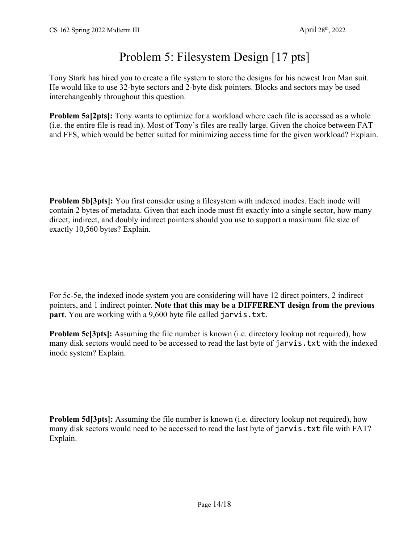#### Problem 5: Filesystem Design [17 pts]

Tony Stark has hired you to create a file system to store the designs for his newest Iron Man suit. He would like to use 32-byte sectors and 2-byte disk pointers. Blocks and sectors may be used interchangeably throughout this question.

**Problem 5a[2pts]:** Tony wants to optimize for a workload where each file is accessed as a whole (i.e. the entire file is read in). Most of Tony's files are really large. Given the choice between FAT and FFS, which would be better suited for minimizing access time for the given workload? Explain.

**Problem 5b[3pts]:** You first consider using a filesystem with indexed inodes. Each inode will contain 2 bytes of metadata. Given that each inode must fit exactly into a single sector, how many direct, indirect, and doubly indirect pointers should you use to support a maximum file size of exactly 10,560 bytes? Explain.

For 5c-5e, the indexed inode system you are considering will have 12 direct pointers, 2 indirect pointers, and 1 indirect pointer. **Note that this may be a DIFFERENT design from the previous part**. You are working with a 9,600 byte file called jarvis.txt.

**Problem 5c[3pts]:** Assuming the file number is known (i.e. directory lookup not required), how many disk sectors would need to be accessed to read the last byte of jarvis.txt with the indexed inode system? Explain.

**Problem 5d[3pts]:** Assuming the file number is known (i.e. directory lookup not required), how many disk sectors would need to be accessed to read the last byte of jarvis.txt file with FAT? Explain.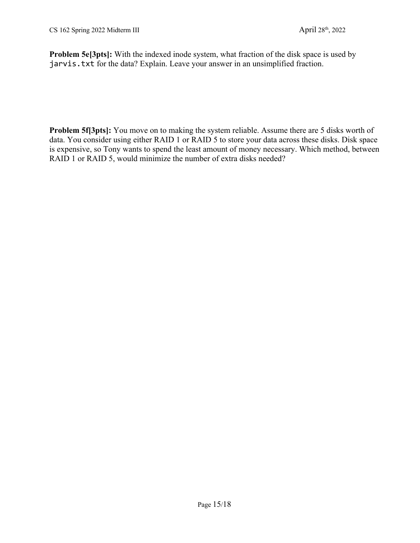**Problem 5e[3pts]:** With the indexed inode system, what fraction of the disk space is used by jarvis.txt for the data? Explain. Leave your answer in an unsimplified fraction.

**Problem 5f[3pts]:** You move on to making the system reliable. Assume there are 5 disks worth of data. You consider using either RAID 1 or RAID 5 to store your data across these disks. Disk space is expensive, so Tony wants to spend the least amount of money necessary. Which method, between RAID 1 or RAID 5, would minimize the number of extra disks needed?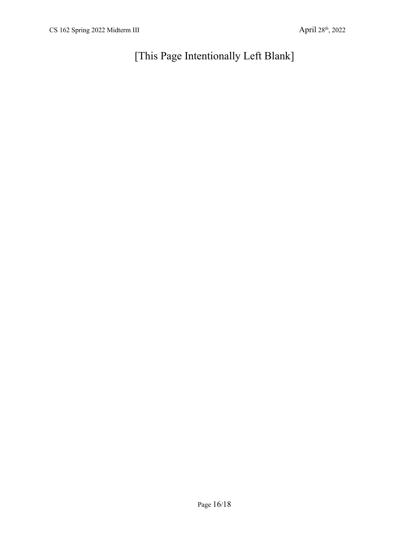#### [This Page Intentionally Left Blank]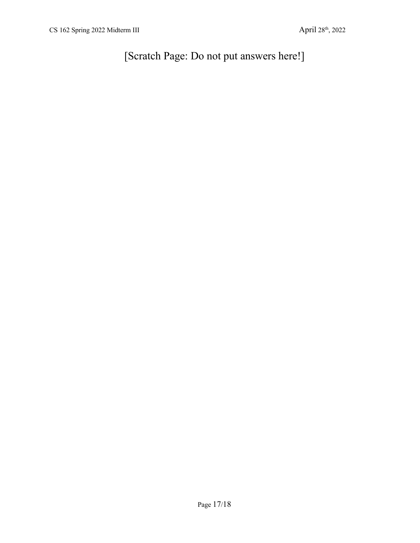[Scratch Page: Do not put answers here!]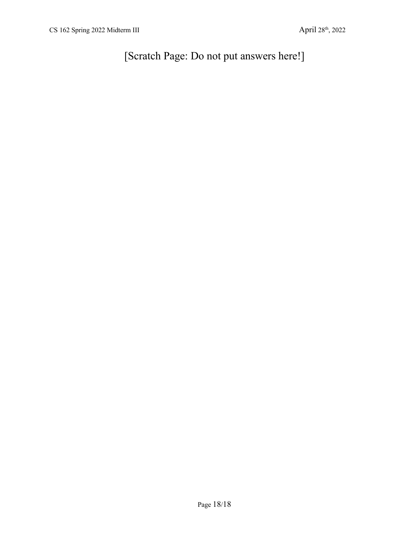[Scratch Page: Do not put answers here!]